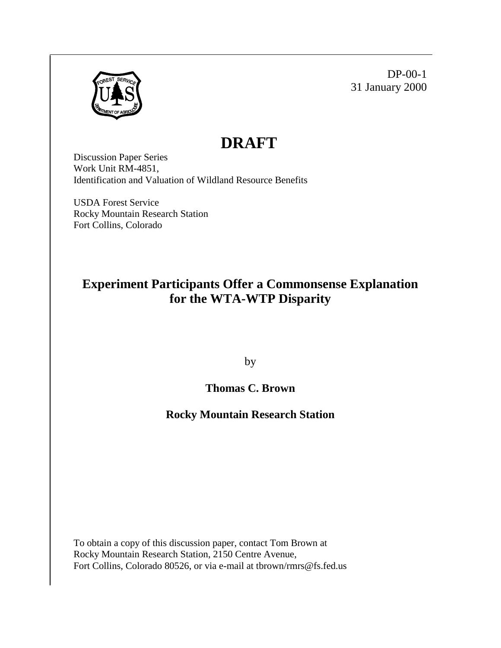

DP-00-1 31 January 2000

# **DRAFT**

Discussion Paper Series Work Unit RM-4851, Identification and Valuation of Wildland Resource Benefits

USDA Forest Service Rocky Mountain Research Station Fort Collins, Colorado

# **Experiment Participants Offer a Commonsense Explanation for the WTA-WTP Disparity**

by

# **Thomas C. Brown**

## **Rocky Mountain Research Station**

To obtain a copy of this discussion paper, contact Tom Brown at Rocky Mountain Research Station, 2150 Centre Avenue, Fort Collins, Colorado 80526, or via e-mail at tbrown/rmrs@fs.fed.us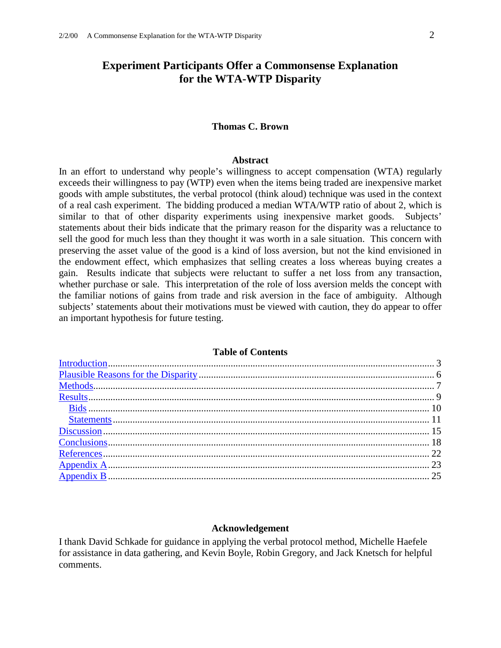### **Experiment Participants Offer a Commonsense Explanation for the WTA-WTP Disparity**

#### **Thomas C. Brown**

#### **Abstract**

In an effort to understand why people's willingness to accept compensation (WTA) regularly exceeds their willingness to pay (WTP) even when the items being traded are inexpensive market goods with ample substitutes, the verbal protocol (think aloud) technique was used in the context of a real cash experiment. The bidding produced a median WTA/WTP ratio of about 2, which is similar to that of other disparity experiments using inexpensive market goods. Subjects' statements about their bids indicate that the primary reason for the disparity was a reluctance to sell the good for much less than they thought it was worth in a sale situation. This concern with preserving the asset value of the good is a kind of loss aversion, but not the kind envisioned in the endowment effect, which emphasizes that selling creates a loss whereas buying creates a gain. Results indicate that subjects were reluctant to suffer a net loss from any transaction, whether purchase or sale. This interpretation of the role of loss aversion melds the concept with the familiar notions of gains from trade and risk aversion in the face of ambiguity. Although subjects' statements about their motivations must be viewed with caution, they do appear to offer an important hypothesis for future testing.

#### **Table of Contents**

#### **Acknowledgement**

I thank David Schkade for guidance in applying the verbal protocol method, Michelle Haefele for assistance in data gathering, and Kevin Boyle, Robin Gregory, and Jack Knetsch for helpful comments.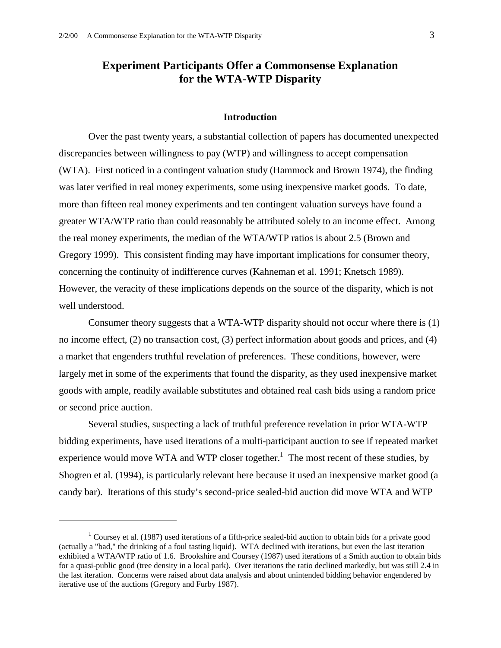$\overline{a}$ 

### **Experiment Participants Offer a Commonsense Explanation for the WTA-WTP Disparity**

#### **Introduction**

 Over the past twenty years, a substantial collection of papers has documented unexpected discrepancies between willingness to pay (WTP) and willingness to accept compensation (WTA). First noticed in a contingent valuation study (Hammock and Brown 1974), the finding was later verified in real money experiments, some using inexpensive market goods. To date, more than fifteen real money experiments and ten contingent valuation surveys have found a greater WTA/WTP ratio than could reasonably be attributed solely to an income effect. Among the real money experiments, the median of the WTA/WTP ratios is about 2.5 (Brown and Gregory 1999). This consistent finding may have important implications for consumer theory, concerning the continuity of indifference curves (Kahneman et al. 1991; Knetsch 1989). However, the veracity of these implications depends on the source of the disparity, which is not well understood.

 Consumer theory suggests that a WTA-WTP disparity should not occur where there is (1) no income effect, (2) no transaction cost, (3) perfect information about goods and prices, and (4) a market that engenders truthful revelation of preferences. These conditions, however, were largely met in some of the experiments that found the disparity, as they used inexpensive market goods with ample, readily available substitutes and obtained real cash bids using a random price or second price auction.

 Several studies, suspecting a lack of truthful preference revelation in prior WTA-WTP bidding experiments, have used iterations of a multi-participant auction to see if repeated market experience would move WTA and WTP closer together.<sup>1</sup> The most recent of these studies, by Shogren et al. (1994), is particularly relevant here because it used an inexpensive market good (a candy bar). Iterations of this study's second-price sealed-bid auction did move WTA and WTP

<sup>&</sup>lt;sup>1</sup> Coursey et al. (1987) used iterations of a fifth-price sealed-bid auction to obtain bids for a private good (actually a "bad," the drinking of a foul tasting liquid). WTA declined with iterations, but even the last iteration exhibited a WTA/WTP ratio of 1.6. Brookshire and Coursey (1987) used iterations of a Smith auction to obtain bids for a quasi-public good (tree density in a local park). Over iterations the ratio declined markedly, but was still 2.4 in the last iteration. Concerns were raised about data analysis and about unintended bidding behavior engendered by iterative use of the auctions (Gregory and Furby 1987).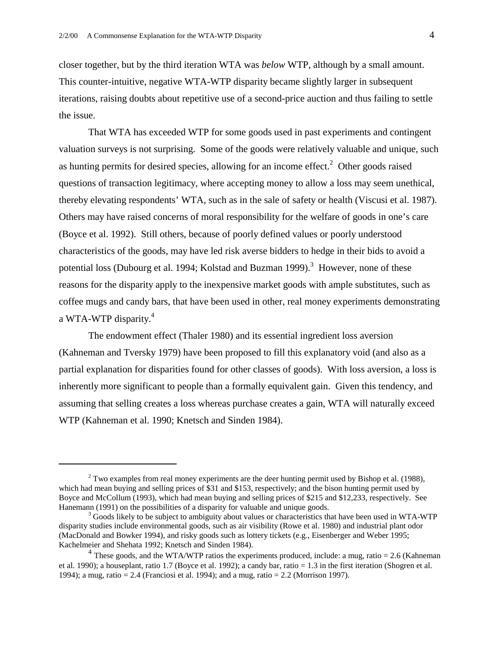$\overline{a}$ 

closer together, but by the third iteration WTA was *below* WTP, although by a small amount. This counter-intuitive, negative WTA-WTP disparity became slightly larger in subsequent iterations, raising doubts about repetitive use of a second-price auction and thus failing to settle the issue.

 That WTA has exceeded WTP for some goods used in past experiments and contingent valuation surveys is not surprising. Some of the goods were relatively valuable and unique, such as hunting permits for desired species, allowing for an income effect. $2$  Other goods raised questions of transaction legitimacy, where accepting money to allow a loss may seem unethical, thereby elevating respondents' WTA, such as in the sale of safety or health (Viscusi et al. 1987). Others may have raised concerns of moral responsibility for the welfare of goods in one's care (Boyce et al. 1992). Still others, because of poorly defined values or poorly understood characteristics of the goods, may have led risk averse bidders to hedge in their bids to avoid a potential loss (Dubourg et al. 1994; Kolstad and Buzman 1999).<sup>3</sup> However, none of these reasons for the disparity apply to the inexpensive market goods with ample substitutes, such as coffee mugs and candy bars, that have been used in other, real money experiments demonstrating a WTA-WTP disparity.<sup>4</sup>

 The endowment effect (Thaler 1980) and its essential ingredient loss aversion (Kahneman and Tversky 1979) have been proposed to fill this explanatory void (and also as a partial explanation for disparities found for other classes of goods). With loss aversion, a loss is inherently more significant to people than a formally equivalent gain. Given this tendency, and assuming that selling creates a loss whereas purchase creates a gain, WTA will naturally exceed WTP (Kahneman et al. 1990; Knetsch and Sinden 1984).

 $2^2$  Two examples from real money experiments are the deer hunting permit used by Bishop et al. (1988), which had mean buying and selling prices of \$31 and \$153, respectively; and the bison hunting permit used by Boyce and McCollum (1993), which had mean buying and selling prices of \$215 and \$12,233, respectively. See Hanemann (1991) on the possibilities of a disparity for valuable and unique goods.

 $\beta$  Goods likely to be subject to ambiguity about values or characteristics that have been used in WTA-WTP disparity studies include environmental goods, such as air visibility (Rowe et al. 1980) and industrial plant odor (MacDonald and Bowker 1994), and risky goods such as lottery tickets (e.g., Eisenberger and Weber 1995; Kachelmeier and Shehata 1992; Knetsch and Sinden 1984).

<sup>&</sup>lt;sup>4</sup> These goods, and the WTA/WTP ratios the experiments produced, include: a mug, ratio = 2.6 (Kahneman) et al. 1990); a houseplant, ratio 1.7 (Boyce et al. 1992); a candy bar, ratio = 1.3 in the first iteration (Shogren et al. 1994); a mug, ratio = 2.4 (Franciosi et al. 1994); and a mug, ratio = 2.2 (Morrison 1997).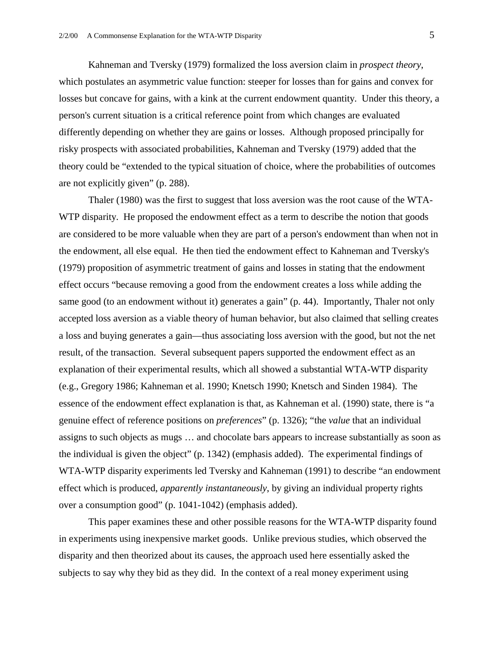Kahneman and Tversky (1979) formalized the loss aversion claim in *prospect theory*, which postulates an asymmetric value function: steeper for losses than for gains and convex for losses but concave for gains, with a kink at the current endowment quantity. Under this theory, a person's current situation is a critical reference point from which changes are evaluated differently depending on whether they are gains or losses. Although proposed principally for risky prospects with associated probabilities, Kahneman and Tversky (1979) added that the theory could be "extended to the typical situation of choice, where the probabilities of outcomes are not explicitly given" (p. 288).

Thaler (1980) was the first to suggest that loss aversion was the root cause of the WTA-WTP disparity. He proposed the endowment effect as a term to describe the notion that goods are considered to be more valuable when they are part of a person's endowment than when not in the endowment, all else equal. He then tied the endowment effect to Kahneman and Tversky's (1979) proposition of asymmetric treatment of gains and losses in stating that the endowment effect occurs "because removing a good from the endowment creates a loss while adding the same good (to an endowment without it) generates a gain" (p. 44). Importantly, Thaler not only accepted loss aversion as a viable theory of human behavior, but also claimed that selling creates a loss and buying generates a gain—thus associating loss aversion with the good, but not the net result, of the transaction. Several subsequent papers supported the endowment effect as an explanation of their experimental results, which all showed a substantial WTA-WTP disparity (e.g., Gregory 1986; Kahneman et al. 1990; Knetsch 1990; Knetsch and Sinden 1984). The essence of the endowment effect explanation is that, as Kahneman et al. (1990) state, there is "a genuine effect of reference positions on *preferences*" (p. 1326); "the *value* that an individual assigns to such objects as mugs … and chocolate bars appears to increase substantially as soon as the individual is given the object" (p. 1342) (emphasis added). The experimental findings of WTA-WTP disparity experiments led Tversky and Kahneman (1991) to describe "an endowment effect which is produced, *apparently instantaneously*, by giving an individual property rights over a consumption good" (p. 1041-1042) (emphasis added).

 This paper examines these and other possible reasons for the WTA-WTP disparity found in experiments using inexpensive market goods. Unlike previous studies, which observed the disparity and then theorized about its causes, the approach used here essentially asked the subjects to say why they bid as they did. In the context of a real money experiment using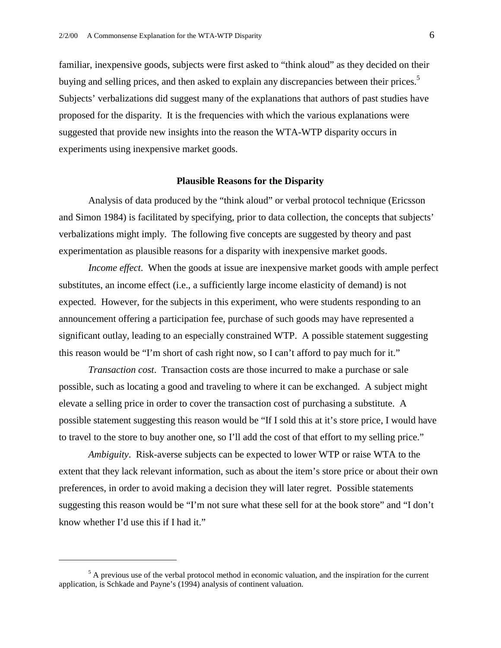familiar, inexpensive goods, subjects were first asked to "think aloud" as they decided on their buying and selling prices, and then asked to explain any discrepancies between their prices.<sup>5</sup> Subjects' verbalizations did suggest many of the explanations that authors of past studies have proposed for the disparity. It is the frequencies with which the various explanations were suggested that provide new insights into the reason the WTA-WTP disparity occurs in experiments using inexpensive market goods.

#### **Plausible Reasons for the Disparity**

 Analysis of data produced by the "think aloud" or verbal protocol technique (Ericsson and Simon 1984) is facilitated by specifying, prior to data collection, the concepts that subjects' verbalizations might imply. The following five concepts are suggested by theory and past experimentation as plausible reasons for a disparity with inexpensive market goods.

*Income effect*. When the goods at issue are inexpensive market goods with ample perfect substitutes, an income effect (i.e., a sufficiently large income elasticity of demand) is not expected. However, for the subjects in this experiment, who were students responding to an announcement offering a participation fee, purchase of such goods may have represented a significant outlay, leading to an especially constrained WTP. A possible statement suggesting this reason would be "I'm short of cash right now, so I can't afford to pay much for it."

*Transaction cost*. Transaction costs are those incurred to make a purchase or sale possible, such as locating a good and traveling to where it can be exchanged. A subject might elevate a selling price in order to cover the transaction cost of purchasing a substitute. A possible statement suggesting this reason would be "If I sold this at it's store price, I would have to travel to the store to buy another one, so I'll add the cost of that effort to my selling price."

*Ambiguity*. Risk-averse subjects can be expected to lower WTP or raise WTA to the extent that they lack relevant information, such as about the item's store price or about their own preferences, in order to avoid making a decision they will later regret. Possible statements suggesting this reason would be "I'm not sure what these sell for at the book store" and "I don't know whether I'd use this if I had it."

1

 $<sup>5</sup>$  A previous use of the verbal protocol method in economic valuation, and the inspiration for the current</sup> application, is Schkade and Payne's (1994) analysis of continent valuation.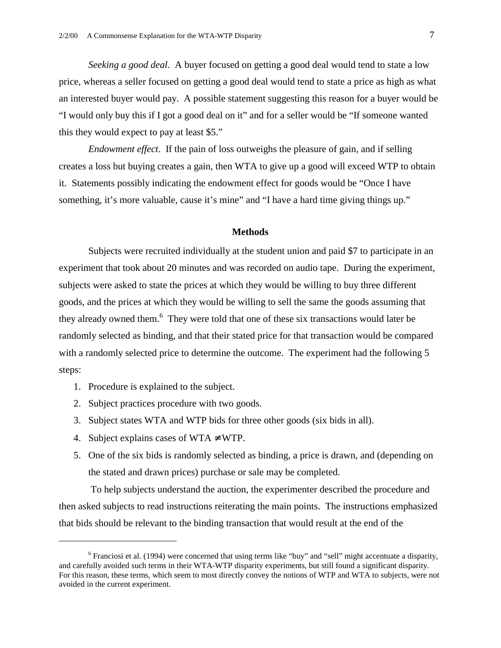*Seeking a good deal*. A buyer focused on getting a good deal would tend to state a low price, whereas a seller focused on getting a good deal would tend to state a price as high as what an interested buyer would pay. A possible statement suggesting this reason for a buyer would be "I would only buy this if I got a good deal on it" and for a seller would be "If someone wanted this they would expect to pay at least \$5."

*Endowment effect*. If the pain of loss outweighs the pleasure of gain, and if selling creates a loss but buying creates a gain, then WTA to give up a good will exceed WTP to obtain it. Statements possibly indicating the endowment effect for goods would be "Once I have something, it's more valuable, cause it's mine" and "I have a hard time giving things up."

#### **Methods**

Subjects were recruited individually at the student union and paid \$7 to participate in an experiment that took about 20 minutes and was recorded on audio tape. During the experiment, subjects were asked to state the prices at which they would be willing to buy three different goods, and the prices at which they would be willing to sell the same the goods assuming that they already owned them.<sup>6</sup> They were told that one of these six transactions would later be randomly selected as binding, and that their stated price for that transaction would be compared with a randomly selected price to determine the outcome. The experiment had the following 5 steps:

- 1. Procedure is explained to the subject.
- 2. Subject practices procedure with two goods.
- 3. Subject states WTA and WTP bids for three other goods (six bids in all).
- 4. Subject explains cases of WTA  $\neq$  WTP.

 $\overline{a}$ 

5. One of the six bids is randomly selected as binding, a price is drawn, and (depending on the stated and drawn prices) purchase or sale may be completed.

 To help subjects understand the auction, the experimenter described the procedure and then asked subjects to read instructions reiterating the main points. The instructions emphasized that bids should be relevant to the binding transaction that would result at the end of the

 $6$  Franciosi et al. (1994) were concerned that using terms like "buy" and "sell" might accentuate a disparity, and carefully avoided such terms in their WTA-WTP disparity experiments, but still found a significant disparity. For this reason, these terms, which seem to most directly convey the notions of WTP and WTA to subjects, were not avoided in the current experiment.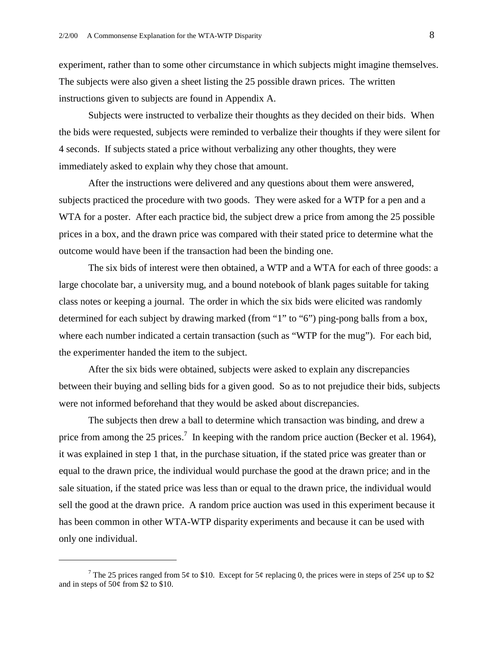experiment, rather than to some other circumstance in which subjects might imagine themselves. The subjects were also given a sheet listing the 25 possible drawn prices. The written instructions given to subjects are found in Appendix A.

Subjects were instructed to verbalize their thoughts as they decided on their bids. When the bids were requested, subjects were reminded to verbalize their thoughts if they were silent for 4 seconds. If subjects stated a price without verbalizing any other thoughts, they were immediately asked to explain why they chose that amount.

After the instructions were delivered and any questions about them were answered, subjects practiced the procedure with two goods. They were asked for a WTP for a pen and a WTA for a poster. After each practice bid, the subject drew a price from among the 25 possible prices in a box, and the drawn price was compared with their stated price to determine what the outcome would have been if the transaction had been the binding one.

The six bids of interest were then obtained, a WTP and a WTA for each of three goods: a large chocolate bar, a university mug, and a bound notebook of blank pages suitable for taking class notes or keeping a journal. The order in which the six bids were elicited was randomly determined for each subject by drawing marked (from "1" to "6") ping-pong balls from a box, where each number indicated a certain transaction (such as "WTP for the mug"). For each bid, the experimenter handed the item to the subject.

After the six bids were obtained, subjects were asked to explain any discrepancies between their buying and selling bids for a given good. So as to not prejudice their bids, subjects were not informed beforehand that they would be asked about discrepancies.

The subjects then drew a ball to determine which transaction was binding, and drew a price from among the 25 prices.<sup>7</sup> In keeping with the random price auction (Becker et al. 1964), it was explained in step 1 that, in the purchase situation, if the stated price was greater than or equal to the drawn price, the individual would purchase the good at the drawn price; and in the sale situation, if the stated price was less than or equal to the drawn price, the individual would sell the good at the drawn price. A random price auction was used in this experiment because it has been common in other WTA-WTP disparity experiments and because it can be used with only one individual.

 $\overline{a}$ 

<sup>&</sup>lt;sup>7</sup> The 25 prices ranged from 5¢ to \$10. Except for 5¢ replacing 0, the prices were in steps of 25¢ up to \$2 and in steps of  $50¢$  from \$2 to \$10.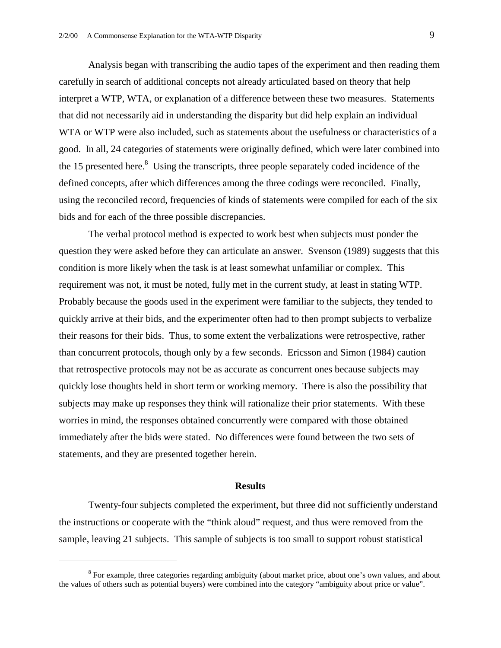Analysis began with transcribing the audio tapes of the experiment and then reading them carefully in search of additional concepts not already articulated based on theory that help interpret a WTP, WTA, or explanation of a difference between these two measures. Statements that did not necessarily aid in understanding the disparity but did help explain an individual WTA or WTP were also included, such as statements about the usefulness or characteristics of a good. In all, 24 categories of statements were originally defined, which were later combined into the 15 presented here. $8$  Using the transcripts, three people separately coded incidence of the defined concepts, after which differences among the three codings were reconciled. Finally, using the reconciled record, frequencies of kinds of statements were compiled for each of the six bids and for each of the three possible discrepancies.

The verbal protocol method is expected to work best when subjects must ponder the question they were asked before they can articulate an answer. Svenson (1989) suggests that this condition is more likely when the task is at least somewhat unfamiliar or complex. This requirement was not, it must be noted, fully met in the current study, at least in stating WTP. Probably because the goods used in the experiment were familiar to the subjects, they tended to quickly arrive at their bids, and the experimenter often had to then prompt subjects to verbalize their reasons for their bids. Thus, to some extent the verbalizations were retrospective, rather than concurrent protocols, though only by a few seconds. Ericsson and Simon (1984) caution that retrospective protocols may not be as accurate as concurrent ones because subjects may quickly lose thoughts held in short term or working memory. There is also the possibility that subjects may make up responses they think will rationalize their prior statements. With these worries in mind, the responses obtained concurrently were compared with those obtained immediately after the bids were stated. No differences were found between the two sets of statements, and they are presented together herein.

#### **Results**

 Twenty-four subjects completed the experiment, but three did not sufficiently understand the instructions or cooperate with the "think aloud" request, and thus were removed from the sample, leaving 21 subjects. This sample of subjects is too small to support robust statistical

 $\overline{a}$ 

 $8$  For example, three categories regarding ambiguity (about market price, about one's own values, and about the values of others such as potential buyers) were combined into the category "ambiguity about price or value".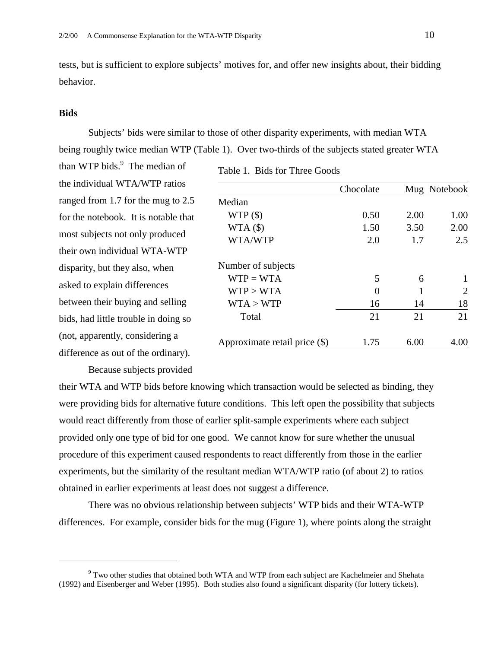tests, but is sufficient to explore subjects' motives for, and offer new insights about, their bidding behavior.

#### **Bids**

 $\overline{a}$ 

Subjects' bids were similar to those of other disparity experiments, with median WTA being roughly twice median WTP (Table 1). Over two-thirds of the subjects stated greater WTA

than WTP bids.<sup>9</sup> The median of the individual WTA/WTP ratios ranged from 1.7 for the mug to 2.5 for the notebook. It is notable that most subjects not only produced their own individual WTA-WTP disparity, but they also, when asked to explain differences between their buying and selling bids, had little trouble in doing so (not, apparently, considering a difference as out of the ordinary).

|                               | Chocolate |      | Mug Notebook                |
|-------------------------------|-----------|------|-----------------------------|
| Median                        |           |      |                             |
| WTP(                          | 0.50      | 2.00 | 1.00                        |
| WTA(\$)                       | 1.50      | 3.50 | 2.00                        |
| WTA/WTP                       | 2.0       | 1.7  | 2.5                         |
| Number of subjects            |           |      |                             |
| $WTP = WTA$                   | 5         | 6    |                             |
| WTP > WTA                     | 0         |      | $\mathcal{D}_{\mathcal{L}}$ |
| WTA > WTP                     | 16        | 14   | 18                          |
| Total                         | 21        | 21   | 21                          |
| Approximate retail price (\$) | 1.75      | 6.00 | 4.00                        |

Table 1. Bids for Three Goods

Because subjects provided

their WTA and WTP bids before knowing which transaction would be selected as binding, they were providing bids for alternative future conditions. This left open the possibility that subjects would react differently from those of earlier split-sample experiments where each subject provided only one type of bid for one good. We cannot know for sure whether the unusual procedure of this experiment caused respondents to react differently from those in the earlier experiments, but the similarity of the resultant median WTA/WTP ratio (of about 2) to ratios obtained in earlier experiments at least does not suggest a difference.

There was no obvious relationship between subjects' WTP bids and their WTA-WTP differences. For example, consider bids for the mug (Figure 1), where points along the straight

 $9^9$  Two other studies that obtained both WTA and WTP from each subject are Kachelmeier and Shehata (1992) and Eisenberger and Weber (1995). Both studies also found a significant disparity (for lottery tickets).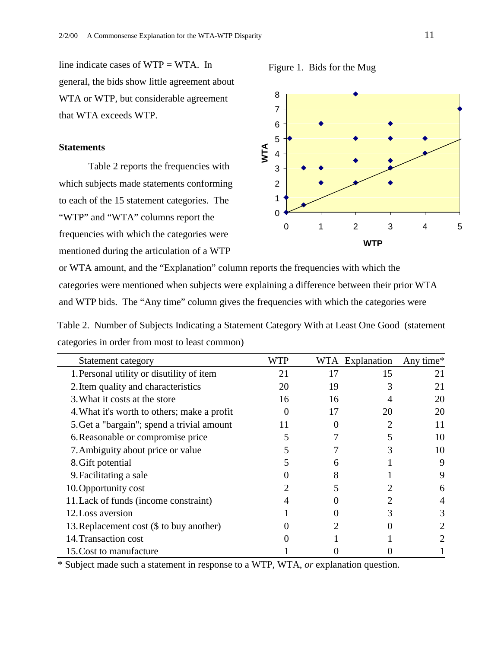line indicate cases of WTP = WTA. In general, the bids show little agreement about WTA or WTP, but considerable agreement that WTA exceeds WTP.

#### **Statements**

Table 2 reports the frequencies with which subjects made statements conforming to each of the 15 statement categories. The "WTP" and "WTA" columns report the frequencies with which the categories were mentioned during the articulation of a WTP



Figure 1. Bids for the Mug

or WTA amount, and the "Explanation" column reports the frequencies with which the categories were mentioned when subjects were explaining a difference between their prior WTA and WTP bids. The "Any time" column gives the frequencies with which the categories were

Table 2. Number of Subjects Indicating a Statement Category With at Least One Good (statement categories in order from most to least common)

| Statement category                          |    |    | WTA Explanation | Any time* |
|---------------------------------------------|----|----|-----------------|-----------|
| 1. Personal utility or disutility of item   | 21 | 17 | 15              | 21        |
| 2. Item quality and characteristics         | 20 | 19 |                 | 21        |
| 3. What it costs at the store               | 16 | 16 |                 | 20        |
| 4. What it's worth to others; make a profit |    | 17 | 20              | 20        |
| 5. Get a "bargain"; spend a trivial amount  | 11 |    |                 | 11        |
| 6. Reasonable or compromise price           |    |    |                 | 10        |
| 7. Ambiguity about price or value           |    |    |                 | 10        |
| 8. Gift potential                           |    |    |                 | 9         |
| 9. Facilitating a sale                      |    |    |                 |           |
| 10. Opportunity cost                        |    |    |                 |           |
| 11. Lack of funds (income constraint)       |    |    |                 |           |
| 12. Loss aversion                           |    |    |                 |           |
| 13. Replacement cost (\$ to buy another)    |    |    |                 |           |
| 14. Transaction cost                        |    |    |                 |           |
| 15. Cost to manufacture                     |    |    |                 |           |

\* Subject made such a statement in response to a WTP, WTA, *or* explanation question.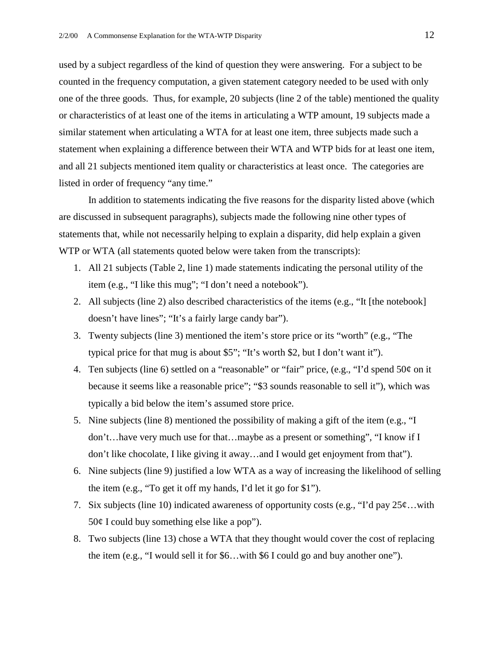used by a subject regardless of the kind of question they were answering. For a subject to be counted in the frequency computation, a given statement category needed to be used with only one of the three goods. Thus, for example, 20 subjects (line 2 of the table) mentioned the quality or characteristics of at least one of the items in articulating a WTP amount, 19 subjects made a similar statement when articulating a WTA for at least one item, three subjects made such a statement when explaining a difference between their WTA and WTP bids for at least one item, and all 21 subjects mentioned item quality or characteristics at least once. The categories are listed in order of frequency "any time."

In addition to statements indicating the five reasons for the disparity listed above (which are discussed in subsequent paragraphs), subjects made the following nine other types of statements that, while not necessarily helping to explain a disparity, did help explain a given WTP or WTA (all statements quoted below were taken from the transcripts):

- 1. All 21 subjects (Table 2, line 1) made statements indicating the personal utility of the item (e.g., "I like this mug"; "I don't need a notebook").
- 2. All subjects (line 2) also described characteristics of the items (e.g., "It [the notebook] doesn't have lines"; "It's a fairly large candy bar").
- 3. Twenty subjects (line 3) mentioned the item's store price or its "worth" (e.g., "The typical price for that mug is about \$5"; "It's worth \$2, but I don't want it").
- 4. Ten subjects (line 6) settled on a "reasonable" or "fair" price, (e.g., "I'd spend 50¢ on it because it seems like a reasonable price"; "\$3 sounds reasonable to sell it"), which was typically a bid below the item's assumed store price.
- 5. Nine subjects (line 8) mentioned the possibility of making a gift of the item (e.g., "I don't…have very much use for that…maybe as a present or something", "I know if I don't like chocolate, I like giving it away…and I would get enjoyment from that").
- 6. Nine subjects (line 9) justified a low WTA as a way of increasing the likelihood of selling the item (e.g., "To get it off my hands, I'd let it go for \$1").
- 7. Six subjects (line 10) indicated awareness of opportunity costs (e.g., "I'd pay  $25¢...$  with  $50¢$  I could buy something else like a pop").
- 8. Two subjects (line 13) chose a WTA that they thought would cover the cost of replacing the item (e.g., "I would sell it for \$6…with \$6 I could go and buy another one").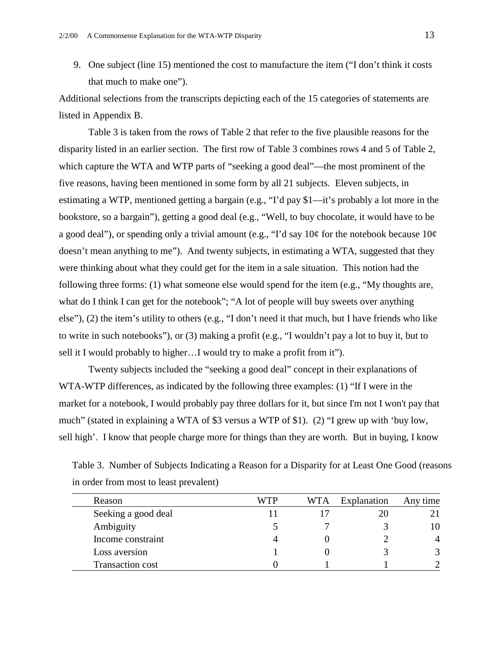9. One subject (line 15) mentioned the cost to manufacture the item ("I don't think it costs that much to make one").

Additional selections from the transcripts depicting each of the 15 categories of statements are listed in Appendix B.

Table 3 is taken from the rows of Table 2 that refer to the five plausible reasons for the disparity listed in an earlier section. The first row of Table 3 combines rows 4 and 5 of Table 2, which capture the WTA and WTP parts of "seeking a good deal"—the most prominent of the five reasons, having been mentioned in some form by all 21 subjects. Eleven subjects, in estimating a WTP, mentioned getting a bargain (e.g., "I'd pay \$1—it's probably a lot more in the bookstore, so a bargain"), getting a good deal (e.g., "Well, to buy chocolate, it would have to be a good deal"), or spending only a trivial amount (e.g., "I'd say  $10¢$  for the notebook because  $10¢$ doesn't mean anything to me"). And twenty subjects, in estimating a WTA, suggested that they were thinking about what they could get for the item in a sale situation. This notion had the following three forms: (1) what someone else would spend for the item (e.g., "My thoughts are, what do I think I can get for the notebook"; "A lot of people will buy sweets over anything else"), (2) the item's utility to others (e.g., "I don't need it that much, but I have friends who like to write in such notebooks"), or (3) making a profit (e.g., "I wouldn't pay a lot to buy it, but to sell it I would probably to higher…I would try to make a profit from it").

Twenty subjects included the "seeking a good deal" concept in their explanations of WTA-WTP differences, as indicated by the following three examples: (1) "If I were in the market for a notebook, I would probably pay three dollars for it, but since I'm not I won't pay that much" (stated in explaining a WTA of \$3 versus a WTP of \$1). (2) "I grew up with 'buy low, sell high'. I know that people charge more for things than they are worth. But in buying, I know

Table 3. Number of Subjects Indicating a Reason for a Disparity for at Least One Good (reasons in order from most to least prevalent)

| Reason                  | WTP | WTA | Explanation | Any time |
|-------------------------|-----|-----|-------------|----------|
| Seeking a good deal     |     |     |             |          |
| Ambiguity               |     |     |             |          |
| Income constraint       |     |     |             |          |
| Loss aversion           |     |     |             | 3        |
| <b>Transaction cost</b> |     |     |             |          |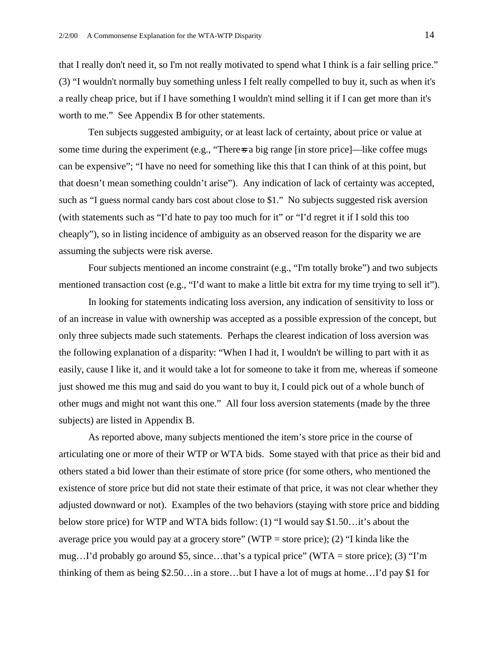that I really don't need it, so I'm not really motivated to spend what I think is a fair selling price." (3) "I wouldn't normally buy something unless I felt really compelled to buy it, such as when it's a really cheap price, but if I have something I wouldn't mind selling it if I can get more than it's worth to me." See Appendix B for other statements.

Ten subjects suggested ambiguity, or at least lack of certainty, about price or value at some time during the experiment (e.g., "There-s a big range [in store price]—like coffee mugs can be expensive"; "I have no need for something like this that I can think of at this point, but that doesn't mean something couldn't arise"). Any indication of lack of certainty was accepted, such as "I guess normal candy bars cost about close to \$1." No subjects suggested risk aversion (with statements such as "I'd hate to pay too much for it" or "I'd regret it if I sold this too cheaply"), so in listing incidence of ambiguity as an observed reason for the disparity we are assuming the subjects were risk averse.

Four subjects mentioned an income constraint (e.g., "I'm totally broke") and two subjects mentioned transaction cost (e.g., "I'd want to make a little bit extra for my time trying to sell it").

 In looking for statements indicating loss aversion, any indication of sensitivity to loss or of an increase in value with ownership was accepted as a possible expression of the concept, but only three subjects made such statements. Perhaps the clearest indication of loss aversion was the following explanation of a disparity: "When I had it, I wouldn't be willing to part with it as easily, cause I like it, and it would take a lot for someone to take it from me, whereas if someone just showed me this mug and said do you want to buy it, I could pick out of a whole bunch of other mugs and might not want this one." All four loss aversion statements (made by the three subjects) are listed in Appendix B.

 As reported above, many subjects mentioned the item's store price in the course of articulating one or more of their WTP or WTA bids. Some stayed with that price as their bid and others stated a bid lower than their estimate of store price (for some others, who mentioned the existence of store price but did not state their estimate of that price, it was not clear whether they adjusted downward or not). Examples of the two behaviors (staying with store price and bidding below store price) for WTP and WTA bids follow: (1) "I would say \$1.50…it's about the average price you would pay at a grocery store" (WTP = store price); (2) "I kinda like the mug...I'd probably go around \$5, since...that's a typical price" (WTA = store price); (3) "I'm thinking of them as being \$2.50…in a store…but I have a lot of mugs at home…I'd pay \$1 for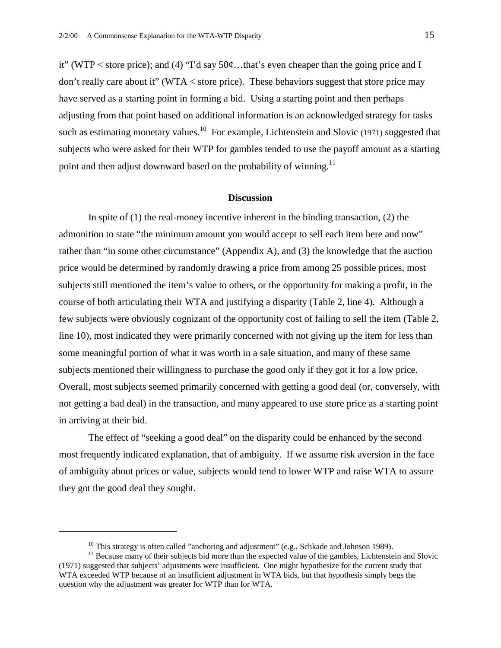it" (WTP < store price); and (4) "I'd say  $50¢$ ...that's even cheaper than the going price and I don't really care about it" (WTA < store price). These behaviors suggest that store price may have served as a starting point in forming a bid. Using a starting point and then perhaps adjusting from that point based on additional information is an acknowledged strategy for tasks such as estimating monetary values.<sup>10</sup> For example, Lichtenstein and Slovic (1971) suggested that subjects who were asked for their WTP for gambles tended to use the payoff amount as a starting point and then adjust downward based on the probability of winning.<sup>11</sup>

#### **Discussion**

In spite of  $(1)$  the real-money incentive inherent in the binding transaction,  $(2)$  the admonition to state "the minimum amount you would accept to sell each item here and now" rather than "in some other circumstance" (Appendix A), and (3) the knowledge that the auction price would be determined by randomly drawing a price from among 25 possible prices, most subjects still mentioned the item's value to others, or the opportunity for making a profit, in the course of both articulating their WTA and justifying a disparity (Table 2, line 4). Although a few subjects were obviously cognizant of the opportunity cost of failing to sell the item (Table 2, line 10), most indicated they were primarily concerned with not giving up the item for less than some meaningful portion of what it was worth in a sale situation, and many of these same subjects mentioned their willingness to purchase the good only if they got it for a low price. Overall, most subjects seemed primarily concerned with getting a good deal (or, conversely, with not getting a bad deal) in the transaction, and many appeared to use store price as a starting point in arriving at their bid.

 The effect of "seeking a good deal" on the disparity could be enhanced by the second most frequently indicated explanation, that of ambiguity. If we assume risk aversion in the face of ambiguity about prices or value, subjects would tend to lower WTP and raise WTA to assure they got the good deal they sought.

1

<sup>&</sup>lt;sup>10</sup> This strategy is often called "anchoring and adjustment" (e.g., Schkade and Johnson 1989).

 $11$  Because many of their subjects bid more than the expected value of the gambles, Lichtenstein and Slovic (1971) suggested that subjects' adjustments were insufficient. One might hypothesize for the current study that WTA exceeded WTP because of an insufficient adjustment in WTA bids, but that hypothesis simply begs the question why the adjustment was greater for WTP than for WTA.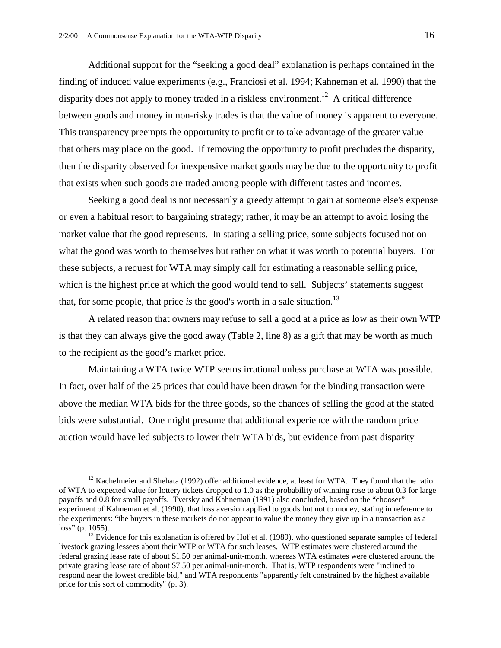1

 Additional support for the "seeking a good deal" explanation is perhaps contained in the finding of induced value experiments (e.g., Franciosi et al. 1994; Kahneman et al. 1990) that the disparity does not apply to money traded in a riskless environment.<sup>12</sup> A critical difference between goods and money in non-risky trades is that the value of money is apparent to everyone. This transparency preempts the opportunity to profit or to take advantage of the greater value that others may place on the good. If removing the opportunity to profit precludes the disparity, then the disparity observed for inexpensive market goods may be due to the opportunity to profit that exists when such goods are traded among people with different tastes and incomes.

 Seeking a good deal is not necessarily a greedy attempt to gain at someone else's expense or even a habitual resort to bargaining strategy; rather, it may be an attempt to avoid losing the market value that the good represents. In stating a selling price, some subjects focused not on what the good was worth to themselves but rather on what it was worth to potential buyers. For these subjects, a request for WTA may simply call for estimating a reasonable selling price, which is the highest price at which the good would tend to sell. Subjects' statements suggest that, for some people, that price *is* the good's worth in a sale situation.<sup>13</sup>

A related reason that owners may refuse to sell a good at a price as low as their own WTP is that they can always give the good away (Table 2, line 8) as a gift that may be worth as much to the recipient as the good's market price.

Maintaining a WTA twice WTP seems irrational unless purchase at WTA was possible. In fact, over half of the 25 prices that could have been drawn for the binding transaction were above the median WTA bids for the three goods, so the chances of selling the good at the stated bids were substantial. One might presume that additional experience with the random price auction would have led subjects to lower their WTA bids, but evidence from past disparity

<sup>&</sup>lt;sup>12</sup> Kachelmeier and Shehata (1992) offer additional evidence, at least for WTA. They found that the ratio of WTA to expected value for lottery tickets dropped to 1.0 as the probability of winning rose to about 0.3 for large payoffs and 0.8 for small payoffs. Tversky and Kahneman (1991) also concluded, based on the "chooser" experiment of Kahneman et al. (1990), that loss aversion applied to goods but not to money, stating in reference to the experiments: "the buyers in these markets do not appear to value the money they give up in a transaction as a loss" (p. 1055). <sup>13</sup> Evidence for this explanation is offered by Hof et al. (1989), who questioned separate samples of federal

livestock grazing lessees about their WTP or WTA for such leases. WTP estimates were clustered around the federal grazing lease rate of about \$1.50 per animal-unit-month, whereas WTA estimates were clustered around the private grazing lease rate of about \$7.50 per animal-unit-month. That is, WTP respondents were "inclined to respond near the lowest credible bid," and WTA respondents "apparently felt constrained by the highest available price for this sort of commodity" (p. 3).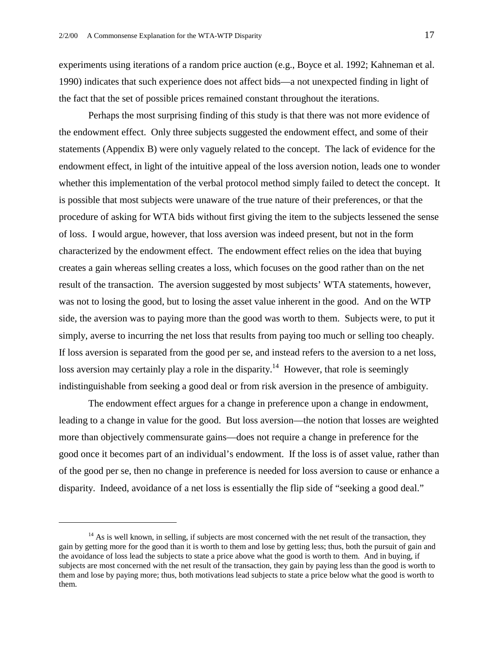experiments using iterations of a random price auction (e.g., Boyce et al. 1992; Kahneman et al. 1990) indicates that such experience does not affect bids—a not unexpected finding in light of the fact that the set of possible prices remained constant throughout the iterations.

Perhaps the most surprising finding of this study is that there was not more evidence of the endowment effect. Only three subjects suggested the endowment effect, and some of their statements (Appendix B) were only vaguely related to the concept. The lack of evidence for the endowment effect, in light of the intuitive appeal of the loss aversion notion, leads one to wonder whether this implementation of the verbal protocol method simply failed to detect the concept. It is possible that most subjects were unaware of the true nature of their preferences, or that the procedure of asking for WTA bids without first giving the item to the subjects lessened the sense of loss. I would argue, however, that loss aversion was indeed present, but not in the form characterized by the endowment effect. The endowment effect relies on the idea that buying creates a gain whereas selling creates a loss, which focuses on the good rather than on the net result of the transaction. The aversion suggested by most subjects' WTA statements, however, was not to losing the good, but to losing the asset value inherent in the good. And on the WTP side, the aversion was to paying more than the good was worth to them. Subjects were, to put it simply, averse to incurring the net loss that results from paying too much or selling too cheaply. If loss aversion is separated from the good per se, and instead refers to the aversion to a net loss, loss aversion may certainly play a role in the disparity.<sup>14</sup> However, that role is seemingly indistinguishable from seeking a good deal or from risk aversion in the presence of ambiguity.

The endowment effect argues for a change in preference upon a change in endowment, leading to a change in value for the good. But loss aversion—the notion that losses are weighted more than objectively commensurate gains—does not require a change in preference for the good once it becomes part of an individual's endowment. If the loss is of asset value, rather than of the good per se, then no change in preference is needed for loss aversion to cause or enhance a disparity. Indeed, avoidance of a net loss is essentially the flip side of "seeking a good deal."

 $\overline{a}$ 

 $14$  As is well known, in selling, if subjects are most concerned with the net result of the transaction, they gain by getting more for the good than it is worth to them and lose by getting less; thus, both the pursuit of gain and the avoidance of loss lead the subjects to state a price above what the good is worth to them. And in buying, if subjects are most concerned with the net result of the transaction, they gain by paying less than the good is worth to them and lose by paying more; thus, both motivations lead subjects to state a price below what the good is worth to them.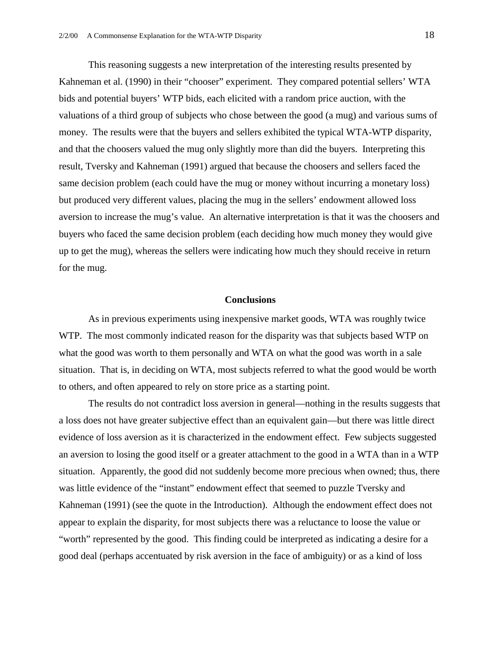This reasoning suggests a new interpretation of the interesting results presented by Kahneman et al. (1990) in their "chooser" experiment. They compared potential sellers' WTA bids and potential buyers' WTP bids, each elicited with a random price auction, with the valuations of a third group of subjects who chose between the good (a mug) and various sums of money. The results were that the buyers and sellers exhibited the typical WTA-WTP disparity, and that the choosers valued the mug only slightly more than did the buyers. Interpreting this result, Tversky and Kahneman (1991) argued that because the choosers and sellers faced the same decision problem (each could have the mug or money without incurring a monetary loss) but produced very different values, placing the mug in the sellers' endowment allowed loss aversion to increase the mug's value. An alternative interpretation is that it was the choosers and buyers who faced the same decision problem (each deciding how much money they would give up to get the mug), whereas the sellers were indicating how much they should receive in return for the mug.

#### **Conclusions**

As in previous experiments using inexpensive market goods, WTA was roughly twice WTP. The most commonly indicated reason for the disparity was that subjects based WTP on what the good was worth to them personally and WTA on what the good was worth in a sale situation. That is, in deciding on WTA, most subjects referred to what the good would be worth to others, and often appeared to rely on store price as a starting point.

 The results do not contradict loss aversion in general—nothing in the results suggests that a loss does not have greater subjective effect than an equivalent gain—but there was little direct evidence of loss aversion as it is characterized in the endowment effect. Few subjects suggested an aversion to losing the good itself or a greater attachment to the good in a WTA than in a WTP situation. Apparently, the good did not suddenly become more precious when owned; thus, there was little evidence of the "instant" endowment effect that seemed to puzzle Tversky and Kahneman (1991) (see the quote in the Introduction). Although the endowment effect does not appear to explain the disparity, for most subjects there was a reluctance to loose the value or "worth" represented by the good. This finding could be interpreted as indicating a desire for a good deal (perhaps accentuated by risk aversion in the face of ambiguity) or as a kind of loss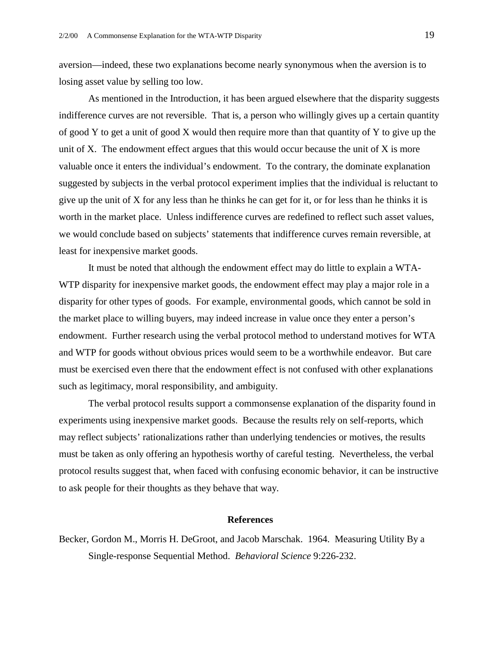aversion—indeed, these two explanations become nearly synonymous when the aversion is to losing asset value by selling too low.

As mentioned in the Introduction, it has been argued elsewhere that the disparity suggests indifference curves are not reversible. That is, a person who willingly gives up a certain quantity of good Y to get a unit of good X would then require more than that quantity of Y to give up the unit of X. The endowment effect argues that this would occur because the unit of X is more valuable once it enters the individual's endowment. To the contrary, the dominate explanation suggested by subjects in the verbal protocol experiment implies that the individual is reluctant to give up the unit of X for any less than he thinks he can get for it, or for less than he thinks it is worth in the market place. Unless indifference curves are redefined to reflect such asset values, we would conclude based on subjects' statements that indifference curves remain reversible, at least for inexpensive market goods.

It must be noted that although the endowment effect may do little to explain a WTA-WTP disparity for inexpensive market goods, the endowment effect may play a major role in a disparity for other types of goods. For example, environmental goods, which cannot be sold in the market place to willing buyers, may indeed increase in value once they enter a person's endowment. Further research using the verbal protocol method to understand motives for WTA and WTP for goods without obvious prices would seem to be a worthwhile endeavor. But care must be exercised even there that the endowment effect is not confused with other explanations such as legitimacy, moral responsibility, and ambiguity.

The verbal protocol results support a commonsense explanation of the disparity found in experiments using inexpensive market goods. Because the results rely on self-reports, which may reflect subjects' rationalizations rather than underlying tendencies or motives, the results must be taken as only offering an hypothesis worthy of careful testing. Nevertheless, the verbal protocol results suggest that, when faced with confusing economic behavior, it can be instructive to ask people for their thoughts as they behave that way.

#### **References**

Becker, Gordon M., Morris H. DeGroot, and Jacob Marschak. 1964. Measuring Utility By a Single-response Sequential Method. *Behavioral Science* 9:226-232.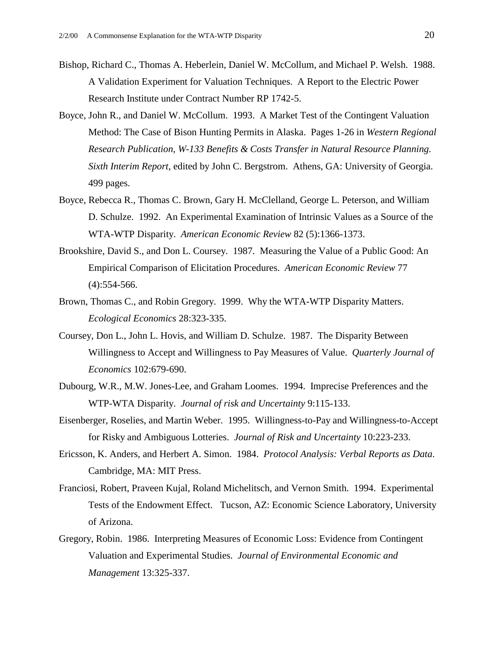- Bishop, Richard C., Thomas A. Heberlein, Daniel W. McCollum, and Michael P. Welsh. 1988. A Validation Experiment for Valuation Techniques. A Report to the Electric Power Research Institute under Contract Number RP 1742-5.
- Boyce, John R., and Daniel W. McCollum. 1993. A Market Test of the Contingent Valuation Method: The Case of Bison Hunting Permits in Alaska. Pages 1-26 in *Western Regional Research Publication, W-133 Benefits & Costs Transfer in Natural Resource Planning. Sixth Interim Report*, edited by John C. Bergstrom. Athens, GA: University of Georgia. 499 pages.
- Boyce, Rebecca R., Thomas C. Brown, Gary H. McClelland, George L. Peterson, and William D. Schulze. 1992. An Experimental Examination of Intrinsic Values as a Source of the WTA-WTP Disparity. *American Economic Review* 82 (5):1366-1373.
- Brookshire, David S., and Don L. Coursey. 1987. Measuring the Value of a Public Good: An Empirical Comparison of Elicitation Procedures. *American Economic Review* 77 (4):554-566.
- Brown, Thomas C., and Robin Gregory. 1999. Why the WTA-WTP Disparity Matters. *Ecological Economics* 28:323-335.
- Coursey, Don L., John L. Hovis, and William D. Schulze. 1987. The Disparity Between Willingness to Accept and Willingness to Pay Measures of Value. *Quarterly Journal of Economics* 102:679-690.
- Dubourg, W.R., M.W. Jones-Lee, and Graham Loomes. 1994. Imprecise Preferences and the WTP-WTA Disparity. *Journal of risk and Uncertainty* 9:115-133.
- Eisenberger, Roselies, and Martin Weber. 1995. Willingness-to-Pay and Willingness-to-Accept for Risky and Ambiguous Lotteries. *Journal of Risk and Uncertainty* 10:223-233.
- Ericsson, K. Anders, and Herbert A. Simon. 1984. *Protocol Analysis: Verbal Reports as Data*. Cambridge, MA: MIT Press.
- Franciosi, Robert, Praveen Kujal, Roland Michelitsch, and Vernon Smith. 1994. Experimental Tests of the Endowment Effect. Tucson, AZ: Economic Science Laboratory, University of Arizona.
- Gregory, Robin. 1986. Interpreting Measures of Economic Loss: Evidence from Contingent Valuation and Experimental Studies. *Journal of Environmental Economic and Management* 13:325-337.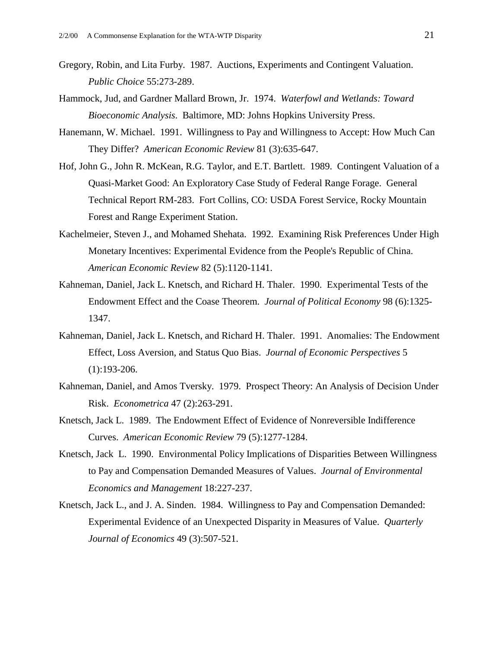- Gregory, Robin, and Lita Furby. 1987. Auctions, Experiments and Contingent Valuation. *Public Choice* 55:273-289.
- Hammock, Jud, and Gardner Mallard Brown, Jr. 1974. *Waterfowl and Wetlands: Toward Bioeconomic Analysis*. Baltimore, MD: Johns Hopkins University Press.
- Hanemann, W. Michael. 1991. Willingness to Pay and Willingness to Accept: How Much Can They Differ? *American Economic Review* 81 (3):635-647.
- Hof, John G., John R. McKean, R.G. Taylor, and E.T. Bartlett. 1989. Contingent Valuation of a Quasi-Market Good: An Exploratory Case Study of Federal Range Forage. General Technical Report RM-283. Fort Collins, CO: USDA Forest Service, Rocky Mountain Forest and Range Experiment Station.
- Kachelmeier, Steven J., and Mohamed Shehata. 1992. Examining Risk Preferences Under High Monetary Incentives: Experimental Evidence from the People's Republic of China. *American Economic Review* 82 (5):1120-1141.
- Kahneman, Daniel, Jack L. Knetsch, and Richard H. Thaler. 1990. Experimental Tests of the Endowment Effect and the Coase Theorem. *Journal of Political Economy* 98 (6):1325- 1347.
- Kahneman, Daniel, Jack L. Knetsch, and Richard H. Thaler. 1991. Anomalies: The Endowment Effect, Loss Aversion, and Status Quo Bias. *Journal of Economic Perspectives* 5 (1):193-206.
- Kahneman, Daniel, and Amos Tversky. 1979. Prospect Theory: An Analysis of Decision Under Risk. *Econometrica* 47 (2):263-291.
- Knetsch, Jack L. 1989. The Endowment Effect of Evidence of Nonreversible Indifference Curves. *American Economic Review* 79 (5):1277-1284.
- Knetsch, Jack L. 1990. Environmental Policy Implications of Disparities Between Willingness to Pay and Compensation Demanded Measures of Values. *Journal of Environmental Economics and Management* 18:227-237.
- Knetsch, Jack L., and J. A. Sinden. 1984. Willingness to Pay and Compensation Demanded: Experimental Evidence of an Unexpected Disparity in Measures of Value. *Quarterly Journal of Economics* 49 (3):507-521.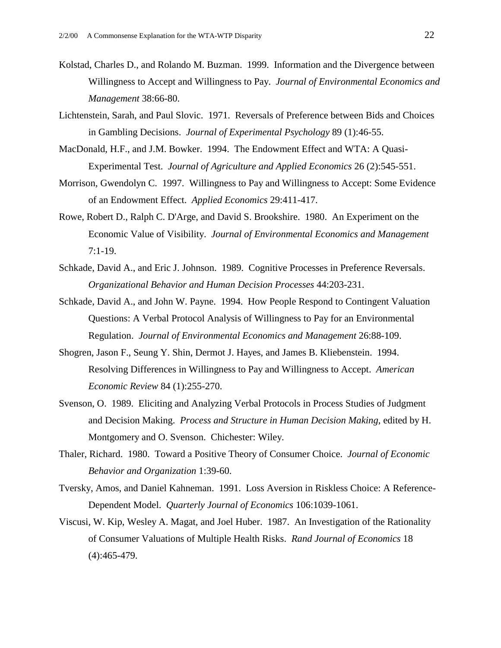- Kolstad, Charles D., and Rolando M. Buzman. 1999. Information and the Divergence between Willingness to Accept and Willingness to Pay. *Journal of Environmental Economics and Management* 38:66-80.
- Lichtenstein, Sarah, and Paul Slovic. 1971. Reversals of Preference between Bids and Choices in Gambling Decisions. *Journal of Experimental Psychology* 89 (1):46-55.
- MacDonald, H.F., and J.M. Bowker. 1994. The Endowment Effect and WTA: A Quasi-Experimental Test. *Journal of Agriculture and Applied Economics* 26 (2):545-551.
- Morrison, Gwendolyn C. 1997. Willingness to Pay and Willingness to Accept: Some Evidence of an Endowment Effect. *Applied Economics* 29:411-417.
- Rowe, Robert D., Ralph C. D'Arge, and David S. Brookshire. 1980. An Experiment on the Economic Value of Visibility. *Journal of Environmental Economics and Management* 7:1-19.
- Schkade, David A., and Eric J. Johnson. 1989. Cognitive Processes in Preference Reversals. *Organizational Behavior and Human Decision Processes* 44:203-231.
- Schkade, David A., and John W. Payne. 1994. How People Respond to Contingent Valuation Questions: A Verbal Protocol Analysis of Willingness to Pay for an Environmental Regulation. *Journal of Environmental Economics and Management* 26:88-109.
- Shogren, Jason F., Seung Y. Shin, Dermot J. Hayes, and James B. Kliebenstein. 1994. Resolving Differences in Willingness to Pay and Willingness to Accept. *American Economic Review* 84 (1):255-270.
- Svenson, O. 1989. Eliciting and Analyzing Verbal Protocols in Process Studies of Judgment and Decision Making. *Process and Structure in Human Decision Making*, edited by H. Montgomery and O. Svenson. Chichester: Wiley.
- Thaler, Richard. 1980. Toward a Positive Theory of Consumer Choice. *Journal of Economic Behavior and Organization* 1:39-60.
- Tversky, Amos, and Daniel Kahneman. 1991. Loss Aversion in Riskless Choice: A Reference-Dependent Model. *Quarterly Journal of Economics* 106:1039-1061.
- Viscusi, W. Kip, Wesley A. Magat, and Joel Huber. 1987. An Investigation of the Rationality of Consumer Valuations of Multiple Health Risks. *Rand Journal of Economics* 18 (4):465-479.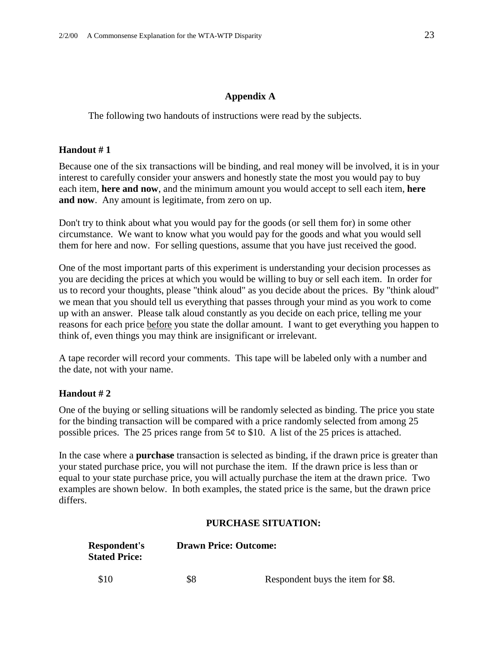#### **Appendix A**

The following two handouts of instructions were read by the subjects.

#### **Handout # 1**

Because one of the six transactions will be binding, and real money will be involved, it is in your interest to carefully consider your answers and honestly state the most you would pay to buy each item, **here and now**, and the minimum amount you would accept to sell each item, **here and now**. Any amount is legitimate, from zero on up.

Don't try to think about what you would pay for the goods (or sell them for) in some other circumstance. We want to know what you would pay for the goods and what you would sell them for here and now. For selling questions, assume that you have just received the good.

One of the most important parts of this experiment is understanding your decision processes as you are deciding the prices at which you would be willing to buy or sell each item. In order for us to record your thoughts, please "think aloud" as you decide about the prices. By "think aloud" we mean that you should tell us everything that passes through your mind as you work to come up with an answer. Please talk aloud constantly as you decide on each price, telling me your reasons for each price before you state the dollar amount. I want to get everything you happen to think of, even things you may think are insignificant or irrelevant.

A tape recorder will record your comments. This tape will be labeled only with a number and the date, not with your name.

#### **Handout # 2**

One of the buying or selling situations will be randomly selected as binding. The price you state for the binding transaction will be compared with a price randomly selected from among 25 possible prices. The 25 prices range from  $5¢$  to \$10. A list of the 25 prices is attached.

In the case where a **purchase** transaction is selected as binding, if the drawn price is greater than your stated purchase price, you will not purchase the item. If the drawn price is less than or equal to your state purchase price, you will actually purchase the item at the drawn price. Two examples are shown below. In both examples, the stated price is the same, but the drawn price differs.

#### **PURCHASE SITUATION:**

| <b>Respondent's</b><br><b>Stated Price:</b> | <b>Drawn Price: Outcome:</b> |                                   |
|---------------------------------------------|------------------------------|-----------------------------------|
| \$10                                        | \$8                          | Respondent buys the item for \$8. |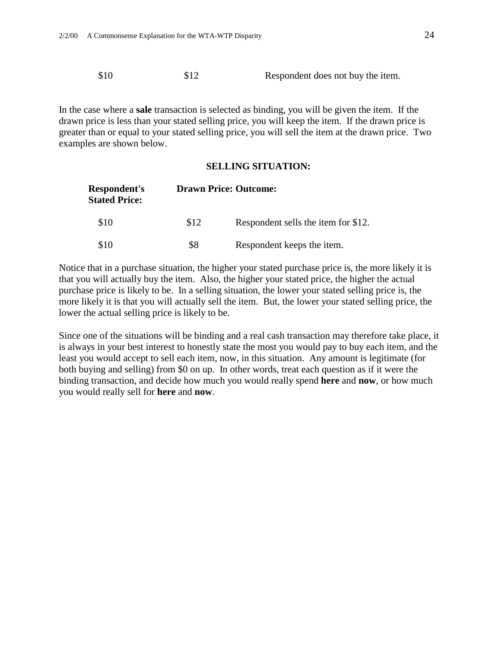\$10 \$12 Respondent does not buy the item.

In the case where a **sale** transaction is selected as binding, you will be given the item. If the drawn price is less than your stated selling price, you will keep the item. If the drawn price is greater than or equal to your stated selling price, you will sell the item at the drawn price. Two examples are shown below.

#### **SELLING SITUATION:**

| Respondent's<br><b>Stated Price:</b> | <b>Drawn Price: Outcome:</b> |                                     |  |
|--------------------------------------|------------------------------|-------------------------------------|--|
| \$10                                 | \$12                         | Respondent sells the item for \$12. |  |
| \$10                                 | \$8                          | Respondent keeps the item.          |  |

Notice that in a purchase situation, the higher your stated purchase price is, the more likely it is that you will actually buy the item. Also, the higher your stated price, the higher the actual purchase price is likely to be. In a selling situation, the lower your stated selling price is, the more likely it is that you will actually sell the item. But, the lower your stated selling price, the lower the actual selling price is likely to be.

Since one of the situations will be binding and a real cash transaction may therefore take place, it is always in your best interest to honestly state the most you would pay to buy each item, and the least you would accept to sell each item, now, in this situation. Any amount is legitimate (for both buying and selling) from \$0 on up. In other words, treat each question as if it were the binding transaction, and decide how much you would really spend **here** and **now**, or how much you would really sell for **here** and **now**.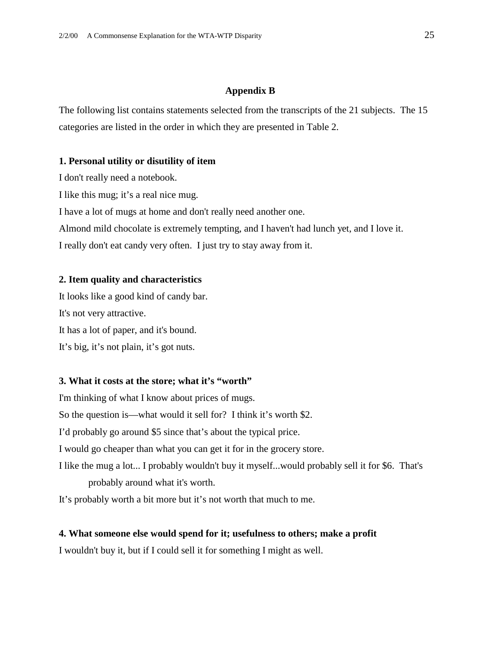#### **Appendix B**

The following list contains statements selected from the transcripts of the 21 subjects. The 15 categories are listed in the order in which they are presented in Table 2.

#### **1. Personal utility or disutility of item**

I don't really need a notebook.

I like this mug; it's a real nice mug.

I have a lot of mugs at home and don't really need another one.

Almond mild chocolate is extremely tempting, and I haven't had lunch yet, and I love it.

I really don't eat candy very often. I just try to stay away from it.

#### **2. Item quality and characteristics**

It looks like a good kind of candy bar. It's not very attractive. It has a lot of paper, and it's bound. It's big, it's not plain, it's got nuts.

#### **3. What it costs at the store; what it's "worth"**

I'm thinking of what I know about prices of mugs. So the question is—what would it sell for? I think it's worth \$2. I'd probably go around \$5 since that's about the typical price. I would go cheaper than what you can get it for in the grocery store. I like the mug a lot... I probably wouldn't buy it myself...would probably sell it for \$6. That's probably around what it's worth.

It's probably worth a bit more but it's not worth that much to me.

#### **4. What someone else would spend for it; usefulness to others; make a profit**

I wouldn't buy it, but if I could sell it for something I might as well.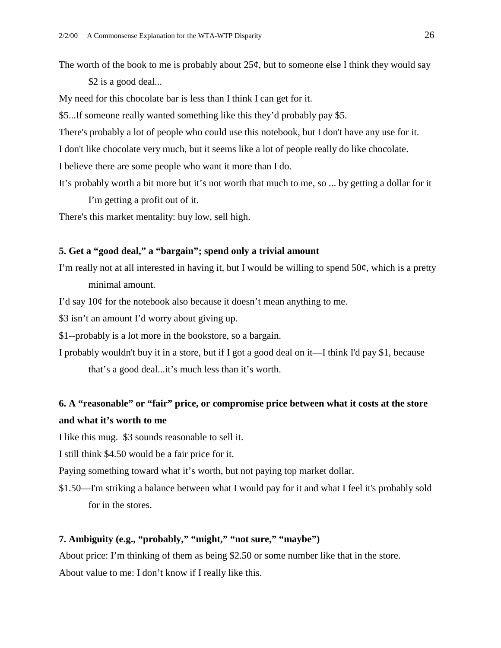The worth of the book to me is probably about  $25¢$ , but to some one else I think they would say \$2 is a good deal...

My need for this chocolate bar is less than I think I can get for it.

\$5...If someone really wanted something like this they'd probably pay \$5.

There's probably a lot of people who could use this notebook, but I don't have any use for it.

I don't like chocolate very much, but it seems like a lot of people really do like chocolate.

I believe there are some people who want it more than I do.

It's probably worth a bit more but it's not worth that much to me, so ... by getting a dollar for it I'm getting a profit out of it.

There's this market mentality: buy low, sell high.

#### **5. Get a "good deal," a "bargain"; spend only a trivial amount**

I'm really not at all interested in having it, but I would be willing to spend  $50¢$ , which is a pretty minimal amount.

I'd say  $10¢$  for the notebook also because it doesn't mean anything to me.

\$3 isn't an amount I'd worry about giving up.

\$1--probably is a lot more in the bookstore, so a bargain.

I probably wouldn't buy it in a store, but if I got a good deal on it—I think I'd pay \$1, because that's a good deal...it's much less than it's worth.

### **6. A "reasonable" or "fair" price, or compromise price between what it costs at the store and what it's worth to me**

I like this mug. \$3 sounds reasonable to sell it.

I still think \$4.50 would be a fair price for it.

Paying something toward what it's worth, but not paying top market dollar.

\$1.50—I'm striking a balance between what I would pay for it and what I feel it's probably sold for in the stores.

#### **7. Ambiguity (e.g., "probably," "might," "not sure," "maybe")**

About price: I'm thinking of them as being \$2.50 or some number like that in the store. About value to me: I don't know if I really like this.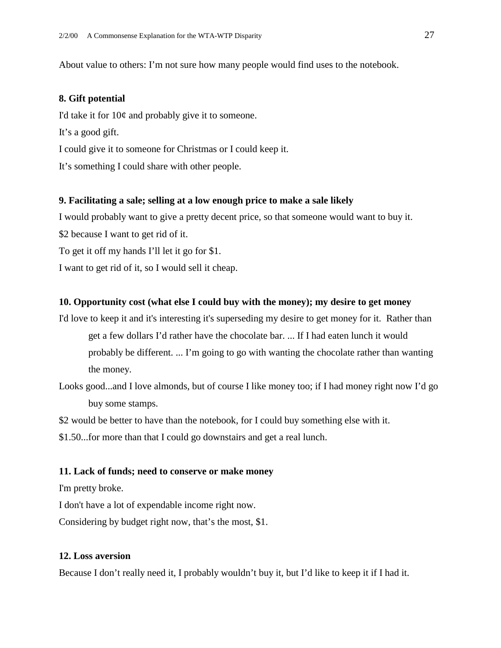About value to others: I'm not sure how many people would find uses to the notebook.

#### **8. Gift potential**

I'd take it for  $10¢$  and probably give it to someone. It's a good gift. I could give it to someone for Christmas or I could keep it. It's something I could share with other people.

#### **9. Facilitating a sale; selling at a low enough price to make a sale likely**

I would probably want to give a pretty decent price, so that someone would want to buy it.

\$2 because I want to get rid of it.

To get it off my hands I'll let it go for \$1.

I want to get rid of it, so I would sell it cheap.

#### **10. Opportunity cost (what else I could buy with the money); my desire to get money**

I'd love to keep it and it's interesting it's superseding my desire to get money for it. Rather than get a few dollars I'd rather have the chocolate bar. ... If I had eaten lunch it would probably be different. ... I'm going to go with wanting the chocolate rather than wanting the money.

Looks good...and I love almonds, but of course I like money too; if I had money right now I'd go buy some stamps.

\$2 would be better to have than the notebook, for I could buy something else with it.

\$1.50...for more than that I could go downstairs and get a real lunch.

#### **11. Lack of funds; need to conserve or make money**

I'm pretty broke.

I don't have a lot of expendable income right now.

Considering by budget right now, that's the most, \$1.

#### **12. Loss aversion**

Because I don't really need it, I probably wouldn't buy it, but I'd like to keep it if I had it.